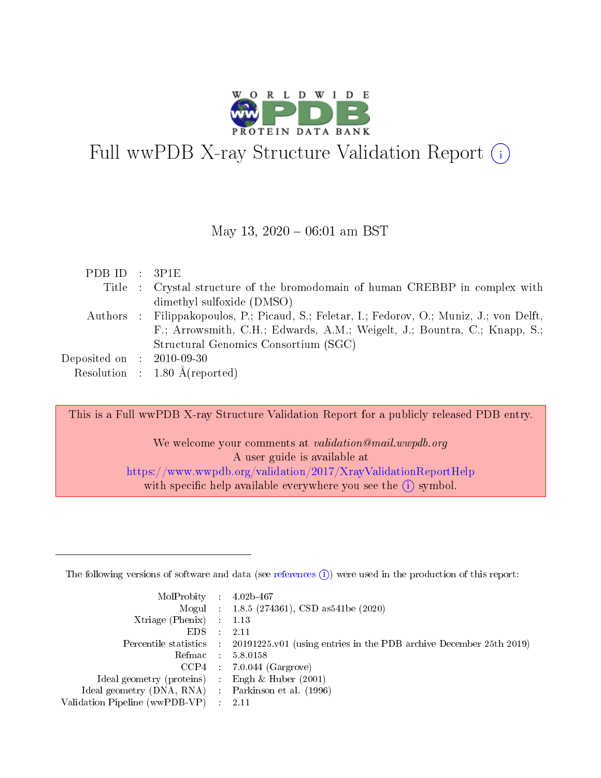

# Full wwPDB X-ray Structure Validation Report (i)

#### May 13,  $2020 - 06:01$  am BST

| PDBID : 3P1E                  |                                                                                            |
|-------------------------------|--------------------------------------------------------------------------------------------|
|                               | Title : Crystal structure of the bromodomain of human CREBBP in complex with               |
|                               | dimethyl sulfoxide (DMSO)                                                                  |
|                               | Authors : Filippakopoulos, P.; Picaud, S.; Feletar, I.; Fedorov, O.; Muniz, J.; von Delft, |
|                               | F.; Arrowsmith, C.H.; Edwards, A.M.; Weigelt, J.; Bountra, C.; Knapp, S.;                  |
|                               | Structural Genomics Consortium (SGC)                                                       |
| $Deposited on$ : $2010-09-30$ |                                                                                            |
|                               | Resolution : $1.80 \text{ Å}$ (reported)                                                   |

This is a Full wwPDB X-ray Structure Validation Report for a publicly released PDB entry.

We welcome your comments at validation@mail.wwpdb.org A user guide is available at <https://www.wwpdb.org/validation/2017/XrayValidationReportHelp> with specific help available everywhere you see the  $(i)$  symbol.

The following versions of software and data (see [references](https://www.wwpdb.org/validation/2017/XrayValidationReportHelp#references)  $(1)$ ) were used in the production of this report:

| $MolProbability$ 4.02b-467                          |               |                                                                                            |
|-----------------------------------------------------|---------------|--------------------------------------------------------------------------------------------|
|                                                     |               | Mogul : $1.8.5$ (274361), CSD as 541be (2020)                                              |
| Xtriage (Phenix) $: 1.13$                           |               |                                                                                            |
| EDS.                                                | $\mathcal{L}$ | -2.11                                                                                      |
|                                                     |               | Percentile statistics : 20191225.v01 (using entries in the PDB archive December 25th 2019) |
|                                                     |               | Refmac $5.8.0158$                                                                          |
| CCP4                                                |               | $7.0.044$ (Gargrove)                                                                       |
| Ideal geometry (proteins)                           | $\sim$        | Engh $\&$ Huber (2001)                                                                     |
| Ideal geometry (DNA, RNA) : Parkinson et al. (1996) |               |                                                                                            |
| Validation Pipeline (wwPDB-VP) : 2.11               |               |                                                                                            |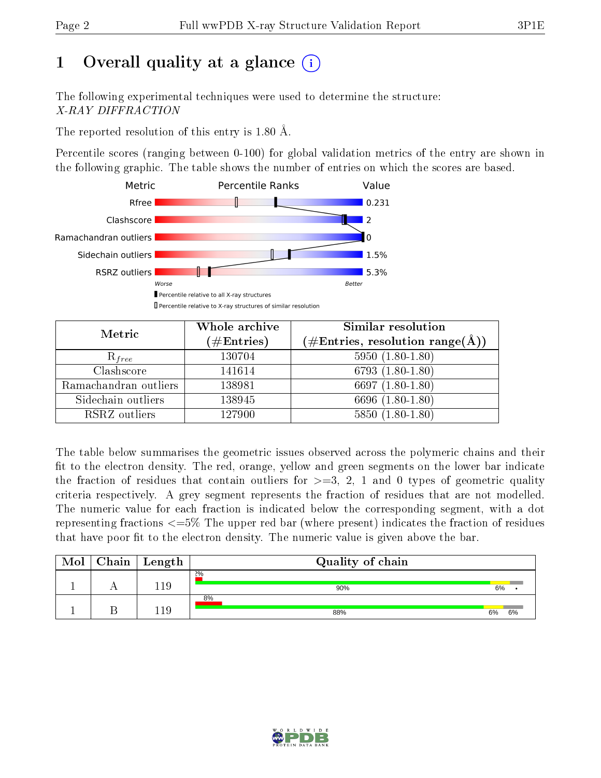# 1 [O](https://www.wwpdb.org/validation/2017/XrayValidationReportHelp#overall_quality)verall quality at a glance  $(i)$

The following experimental techniques were used to determine the structure: X-RAY DIFFRACTION

The reported resolution of this entry is 1.80 Å.

Percentile scores (ranging between 0-100) for global validation metrics of the entry are shown in the following graphic. The table shows the number of entries on which the scores are based.



| Metric                | Whole archive<br>$(\#\text{Entries})$ | Similar resolution<br>$(\#\text{Entries},\,\text{resolution}\,\,\text{range}(\textup{\AA}))$ |  |  |
|-----------------------|---------------------------------------|----------------------------------------------------------------------------------------------|--|--|
| $R_{free}$            | 130704                                | $5950(1.80-1.80)$                                                                            |  |  |
| Clashscore            | 141614                                | $6793(1.80-1.80)$                                                                            |  |  |
| Ramachandran outliers | 138981                                | 6697 $(1.80-1.80)$                                                                           |  |  |
| Sidechain outliers    | 138945                                | 6696 (1.80-1.80)                                                                             |  |  |
| RSRZ outliers         | 127900                                | $5850(1.80-1.80)$                                                                            |  |  |

The table below summarises the geometric issues observed across the polymeric chains and their fit to the electron density. The red, orange, yellow and green segments on the lower bar indicate the fraction of residues that contain outliers for  $>=3, 2, 1$  and 0 types of geometric quality criteria respectively. A grey segment represents the fraction of residues that are not modelled. The numeric value for each fraction is indicated below the corresponding segment, with a dot representing fractions  $\epsilon=5\%$  The upper red bar (where present) indicates the fraction of residues that have poor fit to the electron density. The numeric value is given above the bar.

| Mol | Chain | Length | Quality of chain |    |    |  |  |
|-----|-------|--------|------------------|----|----|--|--|
|     |       | -1.9   | 2%<br>90%        | 6% |    |  |  |
|     |       | 1C     | 8%<br>88%        | 6% | 6% |  |  |

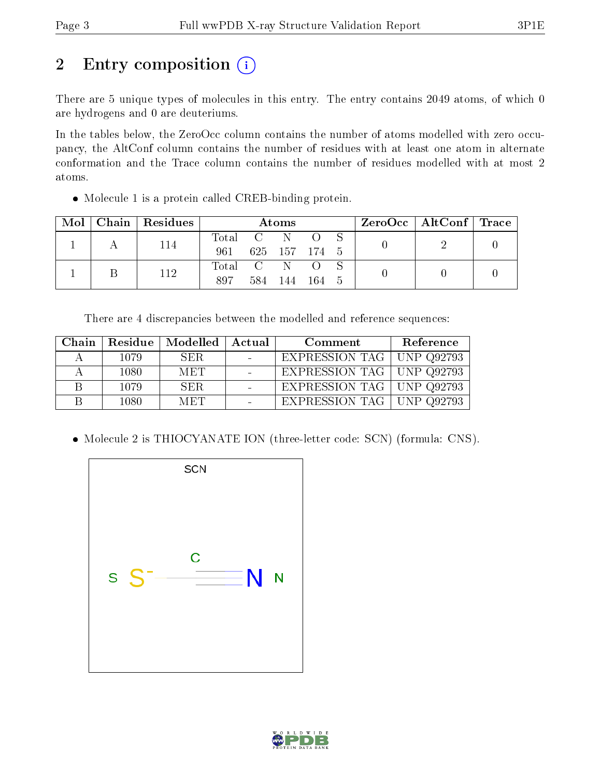# 2 Entry composition (i)

There are 5 unique types of molecules in this entry. The entry contains 2049 atoms, of which 0 are hydrogens and 0 are deuteriums.

In the tables below, the ZeroOcc column contains the number of atoms modelled with zero occupancy, the AltConf column contains the number of residues with at least one atom in alternate conformation and the Trace column contains the number of residues modelled with at most 2 atoms.

Molecule 1 is a protein called CREB-binding protein.

| Mol | Chain   Residues | Atoms   |                |               |       | $\text{ZeroOcc} \mid \text{AltConf} \mid \text{Trace} \mid$ |  |  |  |
|-----|------------------|---------|----------------|---------------|-------|-------------------------------------------------------------|--|--|--|
|     | 114              | Total   | $\overline{C}$ | - N           |       |                                                             |  |  |  |
|     |                  | 961     |                | 625 157 174 5 |       |                                                             |  |  |  |
|     | 112              | Total C |                |               |       |                                                             |  |  |  |
|     |                  | 897     | 584.           | 144           | - 164 | - 5                                                         |  |  |  |

There are 4 discrepancies between the modelled and reference sequences:

| Chain |      | Residue   Modelled | Actual | Comment                     | Reference |
|-------|------|--------------------|--------|-----------------------------|-----------|
|       | 1079 | SER.               |        | EXPRESSION TAG   UNP Q92793 |           |
|       | 1080 | <b>MET</b>         |        | EXPRESSION TAG   UNP Q92793 |           |
|       | 1079 | SER.               |        | EXPRESSION TAG   UNP Q92793 |           |
|       | 1080 | <b>MET</b>         |        | EXPRESSION TAG   UNP Q92793 |           |

• Molecule 2 is THIOCYANATE ION (three-letter code: SCN) (formula: CNS).



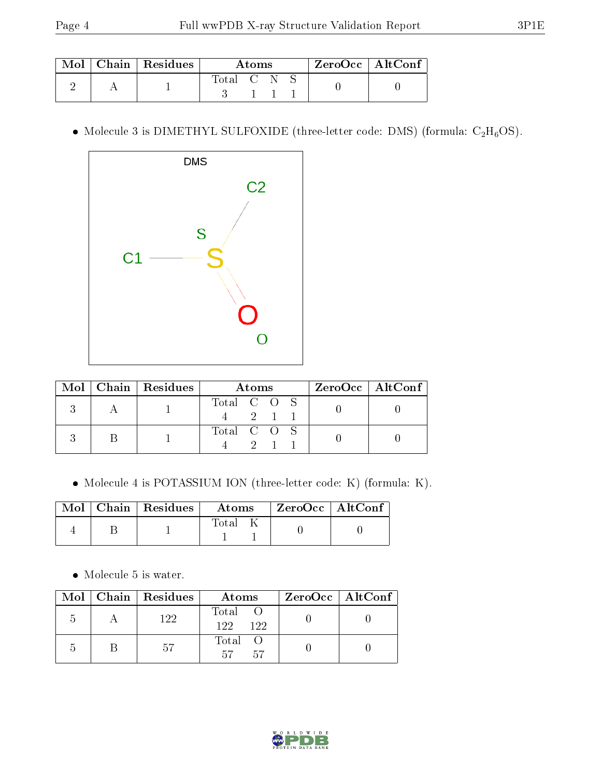|  | $\mid$ Mol $\mid$ Chain $\mid$ Residues $\mid$ | Atoms     |  |  | $^\mathrm{+}$ ZeroOcc $\mathrm{~\vert}$ AltConf $\mathrm{~\vert}$ |  |
|--|------------------------------------------------|-----------|--|--|-------------------------------------------------------------------|--|
|  |                                                | Total C N |  |  |                                                                   |  |

 $\bullet$  Molecule 3 is DIMETHYL SULFOXIDE (three-letter code: DMS) (formula: C<sub>2</sub>H<sub>6</sub>OS).



| $\operatorname{Mol}$ | Chain   Residues | Atoms       | $ZeroOcc \   \$ AltConf |
|----------------------|------------------|-------------|-------------------------|
|                      |                  | Total C O   |                         |
|                      |                  | Total C O S |                         |

Molecule 4 is POTASSIUM ION (three-letter code: K) (formula: K).

|  | $\blacksquare$ Mol $\vert$ Chain $\vert$ Residues $\vert$ Atoms |       | $\vert$ ZeroOcc $\vert$ AltConf |  |
|--|-----------------------------------------------------------------|-------|---------------------------------|--|
|  |                                                                 | Total |                                 |  |

• Molecule 5 is water.

|    | $Mol$   Chain   Residues | Atoms                | ZeroOcc   AltConf |
|----|--------------------------|----------------------|-------------------|
| .h | 122                      | Total<br>122.<br>122 |                   |
|    | -57                      | Total<br>57<br>-57   |                   |

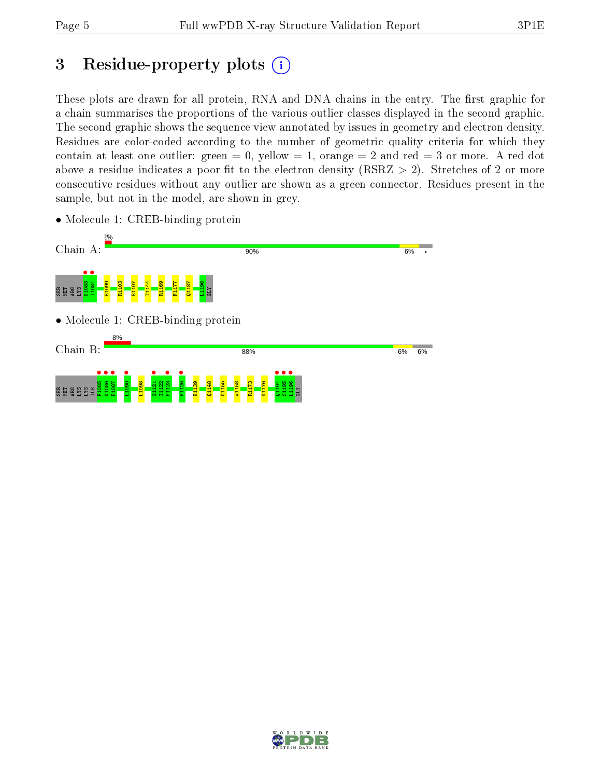# 3 Residue-property plots  $(i)$

These plots are drawn for all protein, RNA and DNA chains in the entry. The first graphic for a chain summarises the proportions of the various outlier classes displayed in the second graphic. The second graphic shows the sequence view annotated by issues in geometry and electron density. Residues are color-coded according to the number of geometric quality criteria for which they contain at least one outlier: green  $= 0$ , yellow  $= 1$ , orange  $= 2$  and red  $= 3$  or more. A red dot above a residue indicates a poor fit to the electron density (RSRZ  $> 2$ ). Stretches of 2 or more consecutive residues without any outlier are shown as a green connector. Residues present in the sample, but not in the model, are shown in grey.



• Molecule 1: CREB-binding protein

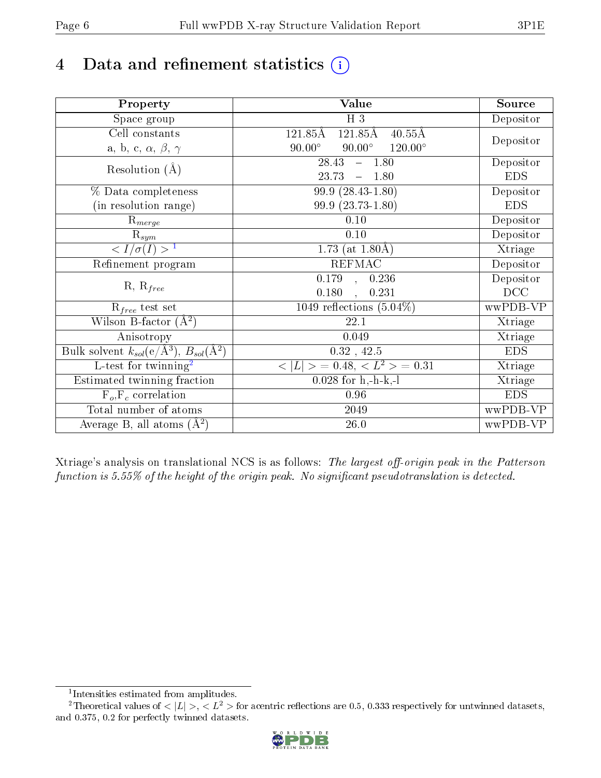# 4 Data and refinement statistics  $(i)$

| Property                                                             | <b>Value</b>                                                    | Source     |
|----------------------------------------------------------------------|-----------------------------------------------------------------|------------|
| Space group                                                          | $H_3$                                                           | Depositor  |
| Cell constants                                                       | $121.85\overline{A}$<br>$121.85\text{\AA}$<br>$40.55\text{\AA}$ |            |
| a, b, c, $\alpha$ , $\beta$ , $\gamma$                               | $90.00^\circ$<br>$90.00^\circ$<br>$120.00^\circ$                | Depositor  |
| Resolution $(A)$                                                     | 28.43<br>$-1.80$                                                | Depositor  |
|                                                                      | 23.73<br>1.80<br>$\frac{1}{2}$                                  | <b>EDS</b> |
| % Data completeness                                                  | 99.9 (28.43-1.80)                                               | Depositor  |
| (in resolution range)                                                | 99.9 (23.73-1.80)                                               | <b>EDS</b> |
| $R_{merge}$                                                          | 0.10                                                            | Depositor  |
| $\mathrm{R}_{sym}$                                                   | 0.10                                                            | Depositor  |
| $\langle I/\sigma(I) \rangle^{-1}$                                   | 1.73 (at $1.80\text{\AA})$                                      | Xtriage    |
| Refinement program                                                   | <b>REFMAC</b>                                                   | Depositor  |
|                                                                      | 0.179<br>0.236<br>$\sim$                                        | Depositor  |
| $R, R_{free}$                                                        | 0.180<br>0.231                                                  | DCC        |
| $\mathcal{R}_{free}$ test set                                        | 1049 reflections $(5.04\%)$                                     | wwPDB-VP   |
| Wilson B-factor $(A^2)$                                              | 22.1                                                            | Xtriage    |
| Anisotropy                                                           | 0.049                                                           | Xtriage    |
| Bulk solvent $k_{sol}(e/\mathring{A}^3)$ , $B_{sol}(\mathring{A}^2)$ | $0.32$ , 42.5                                                   | <b>EDS</b> |
| L-test for twinning <sup>2</sup>                                     | $< L >$ = 0.48, $< L2$ = 0.31                                   | Xtriage    |
| Estimated twinning fraction                                          | $0.028$ for h,-h-k,-l                                           | Xtriage    |
| $F_o, F_c$ correlation                                               | 0.96                                                            | <b>EDS</b> |
| Total number of atoms                                                | 2049                                                            | wwPDB-VP   |
| Average B, all atoms $(A^2)$                                         | $26.0\,$                                                        | wwPDB-VP   |

Xtriage's analysis on translational NCS is as follows: The largest off-origin peak in the Patterson function is  $5.55\%$  of the height of the origin peak. No significant pseudotranslation is detected.

<sup>&</sup>lt;sup>2</sup>Theoretical values of  $\langle |L| \rangle$ ,  $\langle L^2 \rangle$  for acentric reflections are 0.5, 0.333 respectively for untwinned datasets, and 0.375, 0.2 for perfectly twinned datasets.



<span id="page-5-1"></span><span id="page-5-0"></span><sup>1</sup> Intensities estimated from amplitudes.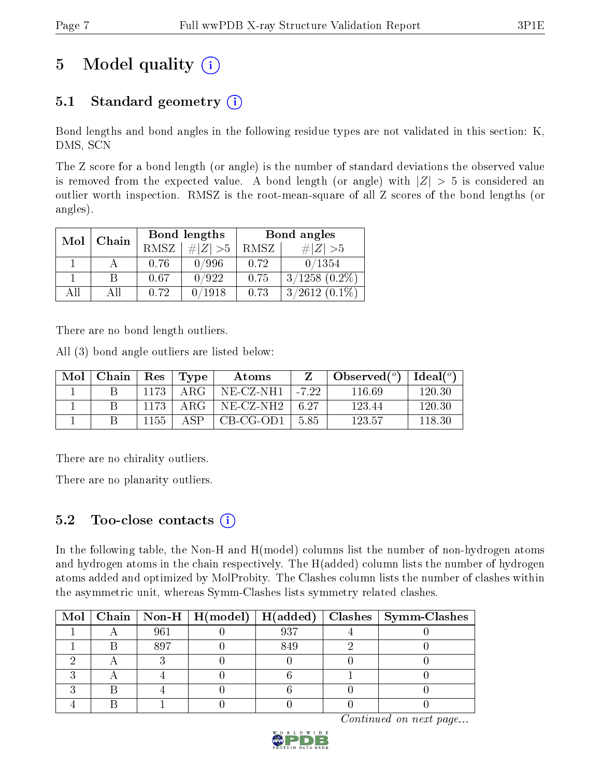# 5 Model quality  $(i)$

### 5.1 Standard geometry  $(i)$

Bond lengths and bond angles in the following residue types are not validated in this section: K, DMS, SCN

The Z score for a bond length (or angle) is the number of standard deviations the observed value is removed from the expected value. A bond length (or angle) with  $|Z| > 5$  is considered an outlier worth inspection. RMSZ is the root-mean-square of all Z scores of the bond lengths (or angles).

| Mol | Chain |             | Bond lengths | Bond angles |                    |  |
|-----|-------|-------------|--------------|-------------|--------------------|--|
|     |       | <b>RMSZ</b> | $\# Z  > 5$  | RMSZ        | # $ Z  > 5$        |  |
|     |       | 0.76        | 0/996        | 0.72        | 0/1354             |  |
|     |       | 0.67        | /922         | 0.75        | $3/1258$ $(0.2\%)$ |  |
| ΔH  | ΔH    | 0.72        | 0/1918       | 0.73        | $3/2612(0.1\%)$    |  |

There are no bond length outliers.

All (3) bond angle outliers are listed below:

| Mol | Chain |      | $\vert$ Res $\vert$ Type | Atoms                    |        | Observed $(^\circ)$ | Ideal $(^\circ)$ |
|-----|-------|------|--------------------------|--------------------------|--------|---------------------|------------------|
|     |       | 1173 | – ARG-                   | NE-CZ-NH1   -7.22        |        | 116.69              | 120.30           |
|     |       | 1173 | . ARG                    | $NE$ -CZ-NH2 $\parallel$ | - 6.27 | 123.44              | 120.30           |
|     |       | 1155 | $\triangle$ SP           | CB-CG-OD1                | - 5.85 | 123.57              | 118.30           |

There are no chirality outliers.

There are no planarity outliers.

### 5.2 Too-close contacts  $(i)$

In the following table, the Non-H and H(model) columns list the number of non-hydrogen atoms and hydrogen atoms in the chain respectively. The H(added) column lists the number of hydrogen atoms added and optimized by MolProbity. The Clashes column lists the number of clashes within the asymmetric unit, whereas Symm-Clashes lists symmetry related clashes.

|  |     |     | Mol   Chain   Non-H   H(model)   H(added)   Clashes   Symm-Clashes |
|--|-----|-----|--------------------------------------------------------------------|
|  | 961 | 937 |                                                                    |
|  | 897 | 849 |                                                                    |
|  |     |     |                                                                    |
|  |     |     |                                                                    |
|  |     |     |                                                                    |
|  |     |     |                                                                    |

Continued on next page...

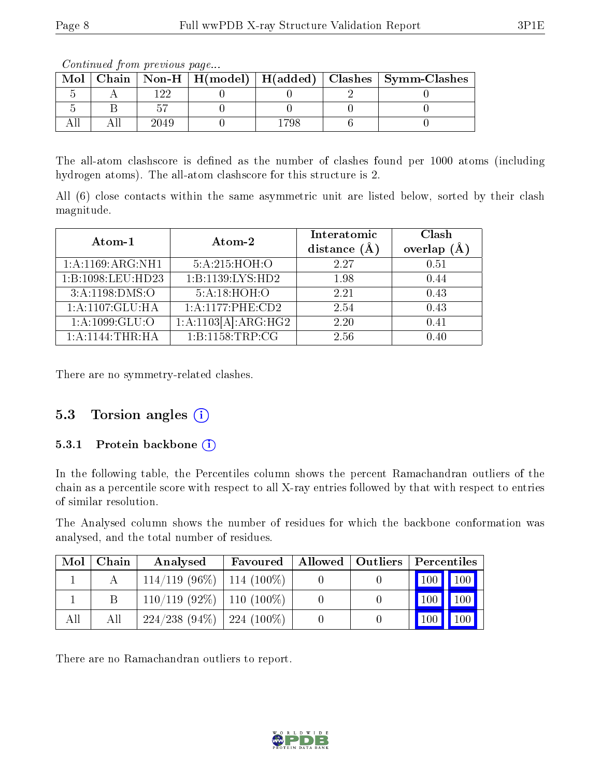The all-atom clashscore is defined as the number of clashes found per 1000 atoms (including hydrogen atoms). The all-atom clashscore for this structure is 2.

All (6) close contacts within the same asymmetric unit are listed below, sorted by their clash magnitude.

| Atom-1              | Atom-2                              | Interatomic<br>distance $(A)$ | Clash<br>overlap $(A)$ |
|---------------------|-------------------------------------|-------------------------------|------------------------|
| 1: A:1169: ARG: NH1 | 5:A:215:HOH:O                       | 2.27                          | 0.51                   |
| 1:B:1098:LEU:HD23   | 1:B:1139:LYS:HD2                    | 1.98                          | 0.44                   |
| 3: A: 1198: DMS: O  | 5: A:18: HOH:O                      | 2.21                          | 0.43                   |
| 1:A:1107:GLU:HA     | 1:A:1177:PHE:CD2                    | 2.54                          | 0.43                   |
| 1: A: 1099: GLU: O  | $1:$ A:1103 $\overline{A}$ :ARG:HG2 | 2.20                          | 0.41                   |
| 1:A:1144:THR:HA     | 1:B:1158:TRP:CG                     | 2.56                          | 0.40                   |

There are no symmetry-related clashes.

### 5.3 Torsion angles  $(i)$

#### 5.3.1 Protein backbone (i)

In the following table, the Percentiles column shows the percent Ramachandran outliers of the chain as a percentile score with respect to all X-ray entries followed by that with respect to entries of similar resolution.

The Analysed column shows the number of residues for which the backbone conformation was analysed, and the total number of residues.

| Mol | Chain | Analysed                       | Favoured |  | Allowed   Outliers   Percentiles       |
|-----|-------|--------------------------------|----------|--|----------------------------------------|
|     |       | $114/119$ (96\%)   114 (100\%) |          |  | $\mid$ 100 $\mid$ 100 $\mid$           |
|     |       | $110/119$ (92\%)   110 (100\%) |          |  | $\vert$ 100 $\vert$<br>100             |
| All | All   | $224/238$ (94\%)   224 (100\%) |          |  | $\parallel$ 100<br>$\vert$ 100 $\vert$ |

There are no Ramachandran outliers to report.



 $Mol$  | Chain | Non-H | H(model) | H(added) | Clashes | Symm-Clashes  $5$  A 122 0 0 0 2 0  $5$  | B |  $57$  | 0 | 0 | 0 | 0 All | All | 2049 | 0 | 1798 | 6 | 0

Continued from previous page...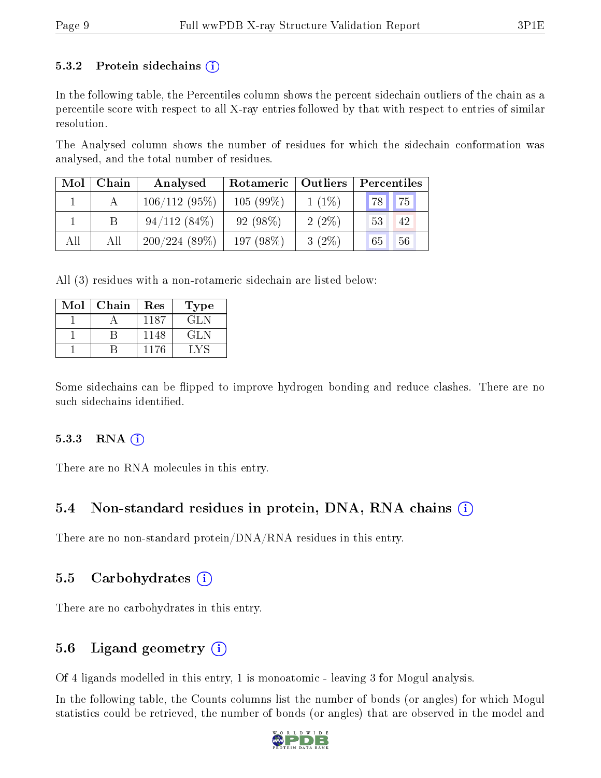#### 5.3.2 Protein sidechains  $(i)$

In the following table, the Percentiles column shows the percent sidechain outliers of the chain as a percentile score with respect to all X-ray entries followed by that with respect to entries of similar resolution.

The Analysed column shows the number of residues for which the sidechain conformation was analysed, and the total number of residues.

| $\text{Mol} \parallel$ | Chain | Analysed     | Rotameric   Outliers |          | Percentiles     |  |  |
|------------------------|-------|--------------|----------------------|----------|-----------------|--|--|
|                        |       | 106/112(95%) | $105(99\%)$          | $1(1\%)$ | 75<br><b>78</b> |  |  |
|                        |       | 94/112(84%)  | $92(98\%)$           | $2(2\%)$ | 53<br>42        |  |  |
| All                    | All   | 200/224(89%) | 197 (98%)            | $3(2\%)$ | 56<br>65        |  |  |

All (3) residues with a non-rotameric sidechain are listed below:

| Mol | Chain | Res  | Type  |
|-----|-------|------|-------|
|     |       | 1187 | GLN   |
|     |       | 1148 | GLN   |
|     |       | 1176 | + V Q |

Some sidechains can be flipped to improve hydrogen bonding and reduce clashes. There are no such sidechains identified.

#### $5.3.3$  RNA  $(i)$

There are no RNA molecules in this entry.

#### 5.4 Non-standard residues in protein, DNA, RNA chains (i)

There are no non-standard protein/DNA/RNA residues in this entry.

#### 5.5 Carbohydrates  $(i)$

There are no carbohydrates in this entry.

#### 5.6 Ligand geometry  $(i)$

Of 4 ligands modelled in this entry, 1 is monoatomic - leaving 3 for Mogul analysis.

In the following table, the Counts columns list the number of bonds (or angles) for which Mogul statistics could be retrieved, the number of bonds (or angles) that are observed in the model and

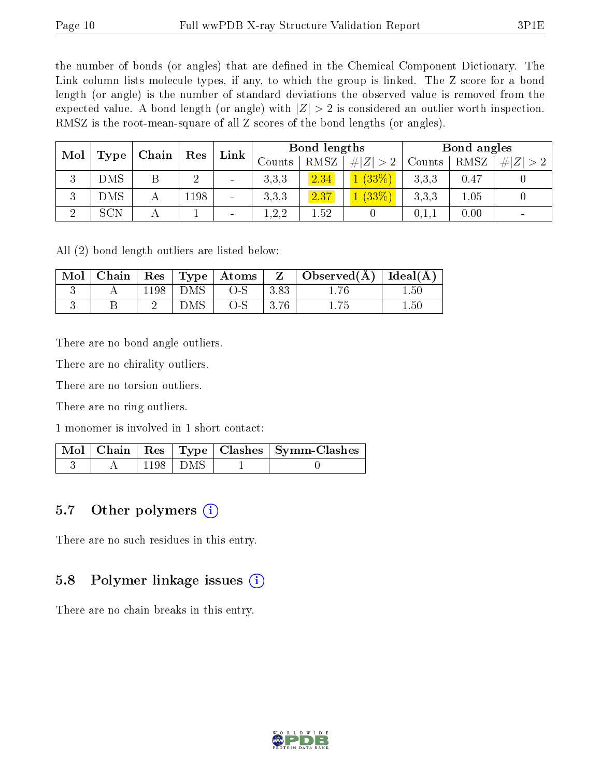the number of bonds (or angles) that are defined in the Chemical Component Dictionary. The Link column lists molecule types, if any, to which the group is linked. The Z score for a bond length (or angle) is the number of standard deviations the observed value is removed from the expected value. A bond length (or angle) with  $|Z| > 2$  is considered an outlier worth inspection. RMSZ is the root-mean-square of all Z scores of the bond lengths (or angles).

| Mol<br>Chain |            | Res | Link           | Bond lengths             |                |             | Bond angles |       |             |  |
|--------------|------------|-----|----------------|--------------------------|----------------|-------------|-------------|-------|-------------|--|
|              | Type       |     |                |                          | RMSZ<br>Counts | # $ Z  > 2$ | Counts      | RMSZ  | # $ Z  > 2$ |  |
| റ            | DMS        | D   | $\overline{2}$ | $\overline{\phantom{0}}$ | 3.3.3          | 2.34        | (33%)       | 3,3,3 | 0.47        |  |
|              | DMS        | А   | 198ء           | $\overline{\phantom{0}}$ | 3.3.3          | 2.37        | (33%)       | 3.3.3 | 1.05        |  |
| $\Omega$     | <b>SCN</b> |     |                | $\overline{\phantom{a}}$ | 1,2,2          | 1.52        |             | 0,1,1 | 0.00        |  |

All (2) bond length outliers are listed below:

| Mol | Chain | Res <sub>1</sub> |     | $\mid$ Type $\mid$ Atoms | Z    | $\mid$ Observed( $\AA$ ) $\mid$ Ideal( $\AA$ ) |          |
|-----|-------|------------------|-----|--------------------------|------|------------------------------------------------|----------|
|     |       | 198              | DMS | $O-S$                    | 3.83 |                                                | $1.50\,$ |
|     |       |                  | DMS | O-S                      | 3.76 | 1.75                                           | $1.50\,$ |

There are no bond angle outliers.

There are no chirality outliers.

There are no torsion outliers.

There are no ring outliers.

1 monomer is involved in 1 short contact:

|  |               | Mol   Chain   Res   Type   Clashes   Symm-Clashes |
|--|---------------|---------------------------------------------------|
|  | -1198   DMS - |                                                   |

#### 5.7 [O](https://www.wwpdb.org/validation/2017/XrayValidationReportHelp#nonstandard_residues_and_ligands)ther polymers (i)

There are no such residues in this entry.

### 5.8 Polymer linkage issues (i)

There are no chain breaks in this entry.

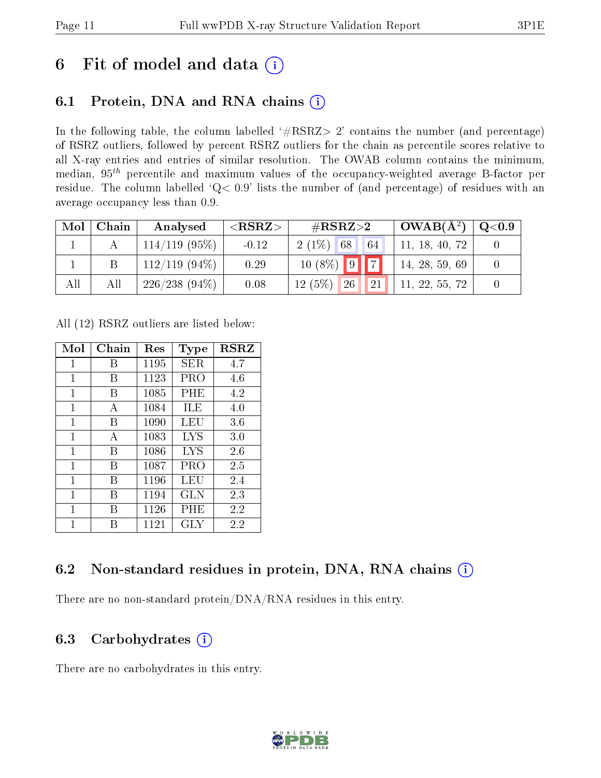## 6 Fit of model and data  $(i)$

### 6.1 Protein, DNA and RNA chains  $(i)$

In the following table, the column labelled  $#RSRZ> 2'$  contains the number (and percentage) of RSRZ outliers, followed by percent RSRZ outliers for the chain as percentile scores relative to all X-ray entries and entries of similar resolution. The OWAB column contains the minimum, median,  $95<sup>th</sup>$  percentile and maximum values of the occupancy-weighted average B-factor per residue. The column labelled ' $Q< 0.9$ ' lists the number of (and percentage) of residues with an average occupancy less than 0.9.

| Mol | Chain | Analysed         | ${ <\hspace{-1.5pt}{\mathrm{RSRZ}} \hspace{-1.5pt}>}$ | $\rm \#RSRZ{>}2$        | $OWAB(A^2)$    | $\rm Q\textcolor{black}{<}0.9$ |
|-----|-------|------------------|-------------------------------------------------------|-------------------------|----------------|--------------------------------|
|     |       | $114/119$ (95%)  | $-0.12$                                               | $2(1\%)$ 68<br>64       | 11, 18, 40, 72 |                                |
|     |       | $112/119$ (94\%) | 0.29                                                  | $10(8\%)$ 9 7           | 14, 28, 59, 69 |                                |
|     | All   | $226/238(94\%)$  | 0.08                                                  | $12(5\%)$<br> 21 <br>26 | 11, 22, 55, 72 |                                |

All (12) RSRZ outliers are listed below:

| Mol          | Chain | Res  | Type       | <b>RSRZ</b> |
|--------------|-------|------|------------|-------------|
| $\mathbf{1}$ | В     | 1195 | <b>SER</b> | 4.7         |
| 1            | В     | 1123 | PRO        | 4.6         |
| 1            | В     | 1085 | PHE        | 4.2         |
| 1            | А     | 1084 | ILE        | 4.0         |
| $\mathbf{1}$ | В     | 1090 | LEU        | 3.6         |
| 1            | А     | 1083 | LYS        | 3.0         |
| 1            | В     | 1086 | LYS        | 2.6         |
| 1            | В     | 1087 | PRO        | 2.5         |
| 1            | В     | 1196 | LEU        | 2.4         |
| 1            | В     | 1194 | <b>GLN</b> | 2.3         |
| 1            | R     | 1126 | PHE        | 2.2         |
| 1            |       | 1121 | GLY        | 2.2         |

### 6.2 Non-standard residues in protein, DNA, RNA chains  $(i)$

There are no non-standard protein/DNA/RNA residues in this entry.

### 6.3 Carbohydrates  $(i)$

There are no carbohydrates in this entry.